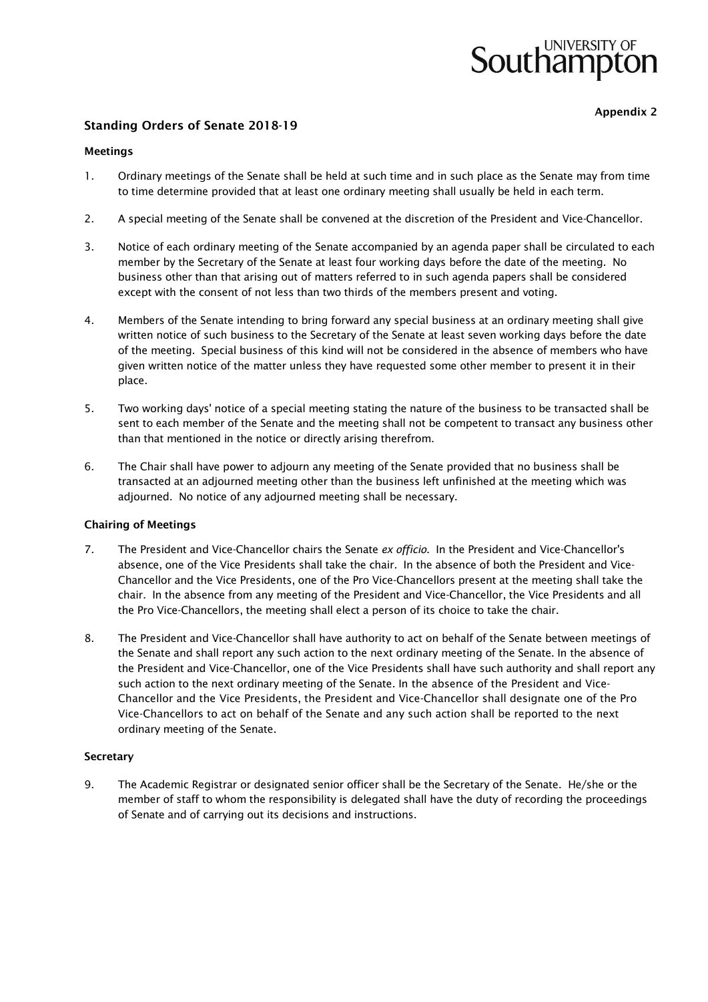# UNIVERSITY OF Southampton

Appendix 2

# Standing Orders of Senate 2018-19

#### Meetings

- 1. Ordinary meetings of the Senate shall be held at such time and in such place as the Senate may from time to time determine provided that at least one ordinary meeting shall usually be held in each term.
- 2. A special meeting of the Senate shall be convened at the discretion of the President and Vice-Chancellor.
- 3. Notice of each ordinary meeting of the Senate accompanied by an agenda paper shall be circulated to each member by the Secretary of the Senate at least four working days before the date of the meeting. No business other than that arising out of matters referred to in such agenda papers shall be considered except with the consent of not less than two thirds of the members present and voting.
- 4. Members of the Senate intending to bring forward any special business at an ordinary meeting shall give written notice of such business to the Secretary of the Senate at least seven working days before the date of the meeting. Special business of this kind will not be considered in the absence of members who have given written notice of the matter unless they have requested some other member to present it in their place.
- 5. Two working days' notice of a special meeting stating the nature of the business to be transacted shall be sent to each member of the Senate and the meeting shall not be competent to transact any business other than that mentioned in the notice or directly arising therefrom.
- 6. The Chair shall have power to adjourn any meeting of the Senate provided that no business shall be transacted at an adjourned meeting other than the business left unfinished at the meeting which was adjourned. No notice of any adjourned meeting shall be necessary.

#### Chairing of Meetings

- 7. The President and Vice-Chancellor chairs the Senate *ex officio*. In the President and Vice-Chancellor's absence, one of the Vice Presidents shall take the chair. In the absence of both the President and Vice-Chancellor and the Vice Presidents, one of the Pro Vice-Chancellors present at the meeting shall take the chair. In the absence from any meeting of the President and Vice-Chancellor, the Vice Presidents and all the Pro Vice-Chancellors, the meeting shall elect a person of its choice to take the chair.
- 8. The President and Vice-Chancellor shall have authority to act on behalf of the Senate between meetings of the Senate and shall report any such action to the next ordinary meeting of the Senate. In the absence of the President and Vice-Chancellor, one of the Vice Presidents shall have such authority and shall report any such action to the next ordinary meeting of the Senate. In the absence of the President and Vice-Chancellor and the Vice Presidents, the President and Vice-Chancellor shall designate one of the Pro Vice-Chancellors to act on behalf of the Senate and any such action shall be reported to the next ordinary meeting of the Senate.

#### **Secretary**

9. The Academic Registrar or designated senior officer shall be the Secretary of the Senate. He/she or the member of staff to whom the responsibility is delegated shall have the duty of recording the proceedings of Senate and of carrying out its decisions and instructions.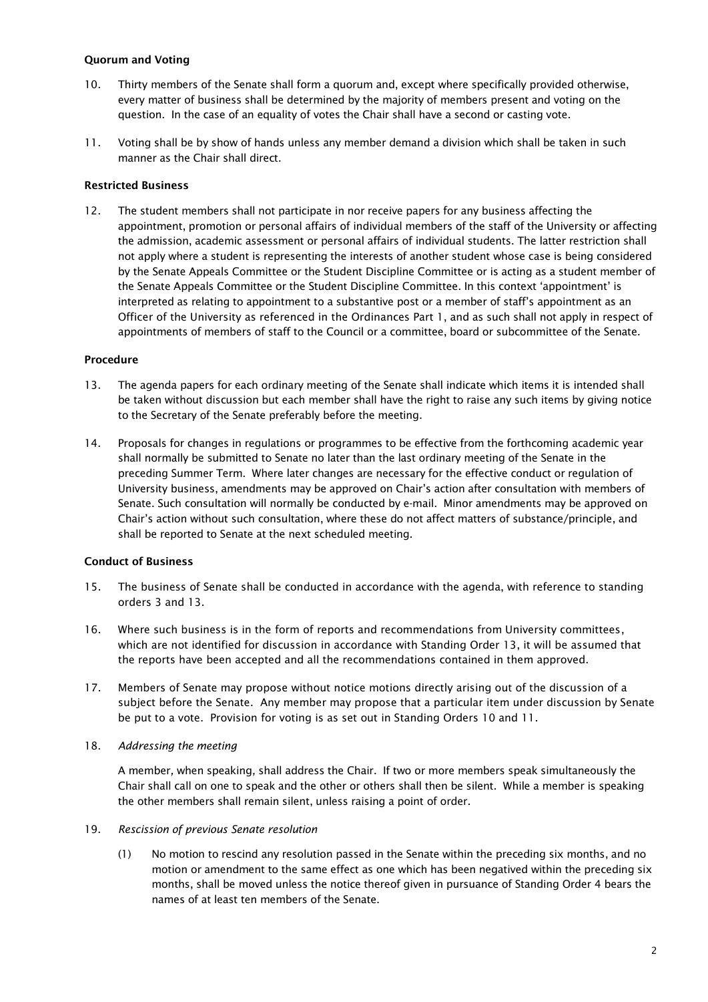## Quorum and Voting

- 10. Thirty members of the Senate shall form a quorum and, except where specifically provided otherwise, every matter of business shall be determined by the majority of members present and voting on the question. In the case of an equality of votes the Chair shall have a second or casting vote.
- 11. Voting shall be by show of hands unless any member demand a division which shall be taken in such manner as the Chair shall direct.

## Restricted Business

12. The student members shall not participate in nor receive papers for any business affecting the appointment, promotion or personal affairs of individual members of the staff of the University or affecting the admission, academic assessment or personal affairs of individual students. The latter restriction shall not apply where a student is representing the interests of another student whose case is being considered by the Senate Appeals Committee or the Student Discipline Committee or is acting as a student member of the Senate Appeals Committee or the Student Discipline Committee. In this context 'appointment' is interpreted as relating to appointment to a substantive post or a member of staff's appointment as an Officer of the University as referenced in the Ordinances Part 1, and as such shall not apply in respect of appointments of members of staff to the Council or a committee, board or subcommittee of the Senate.

#### Procedure

- 13. The agenda papers for each ordinary meeting of the Senate shall indicate which items it is intended shall be taken without discussion but each member shall have the right to raise any such items by giving notice to the Secretary of the Senate preferably before the meeting.
- 14. Proposals for changes in regulations or programmes to be effective from the forthcoming academic year shall normally be submitted to Senate no later than the last ordinary meeting of the Senate in the preceding Summer Term. Where later changes are necessary for the effective conduct or regulation of University business, amendments may be approved on Chair's action after consultation with members of Senate. Such consultation will normally be conducted by e-mail. Minor amendments may be approved on Chair's action without such consultation, where these do not affect matters of substance/principle, and shall be reported to Senate at the next scheduled meeting.

#### Conduct of Business

- 15. The business of Senate shall be conducted in accordance with the agenda, with reference to standing orders 3 and 13.
- 16. Where such business is in the form of reports and recommendations from University committees, which are not identified for discussion in accordance with Standing Order 13, it will be assumed that the reports have been accepted and all the recommendations contained in them approved.
- 17. Members of Senate may propose without notice motions directly arising out of the discussion of a subject before the Senate. Any member may propose that a particular item under discussion by Senate be put to a vote. Provision for voting is as set out in Standing Orders 10 and 11.

#### 18. *Addressing the meeting*

A member*,* when speaking*,* shall address the Chair. If two or more members speak simultaneously the Chair shall call on one to speak and the other or others shall then be silent. While a member is speaking the other members shall remain silent, unless raising a point of order.

#### 19. *Rescission of previous Senate resolution*

(1) No motion to rescind any resolution passed in the Senate within the preceding six months, and no motion or amendment to the same effect as one which has been negatived within the preceding six months, shall be moved unless the notice thereof given in pursuance of Standing Order 4 bears the names of at least ten members of the Senate.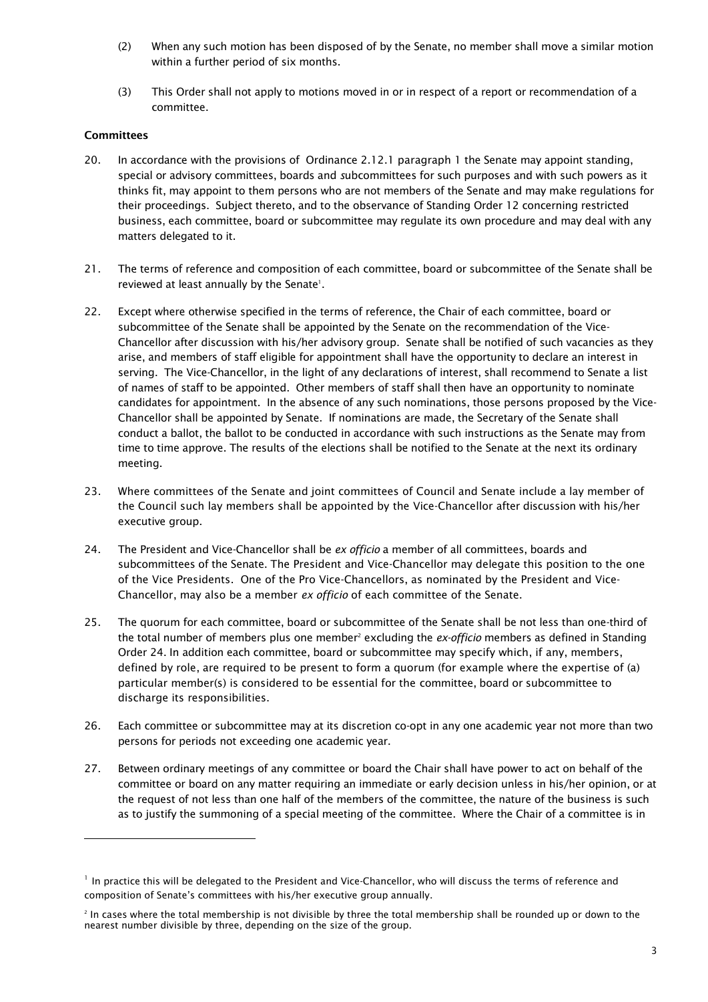- (2) When any such motion has been disposed of by the Senate, no member shall move a similar motion within a further period of six months.
- (3) This Order shall not apply to motions moved in or in respect of a report or recommendation of a committee.

# **Committees**

j

- 20. In accordance with the provisions of Ordinance 2.12.1 paragraph 1 the Senate may appoint standing, special or advisory committees, boards and *s*ubcommittees for such purposes and with such powers as it thinks fit, may appoint to them persons who are not members of the Senate and may make regulations for their proceedings. Subject thereto, and to the observance of Standing Order 12 concerning restricted business, each committee, board or subcommittee may regulate its own procedure and may deal with any matters delegated to it.
- 21. The terms of reference and composition of each committee, board or subcommittee of the Senate shall be reviewed at least annually by the Senate<sup>1</sup>.
- 22. Except where otherwise specified in the terms of reference, the Chair of each committee, board or subcommittee of the Senate shall be appointed by the Senate on the recommendation of the Vice-Chancellor after discussion with his/her advisory group. Senate shall be notified of such vacancies as they arise, and members of staff eligible for appointment shall have the opportunity to declare an interest in serving. The Vice-Chancellor, in the light of any declarations of interest, shall recommend to Senate a list of names of staff to be appointed. Other members of staff shall then have an opportunity to nominate candidates for appointment. In the absence of any such nominations, those persons proposed by the Vice-Chancellor shall be appointed by Senate. If nominations are made, the Secretary of the Senate shall conduct a ballot, the ballot to be conducted in accordance with such instructions as the Senate may from time to time approve. The results of the elections shall be notified to the Senate at the next its ordinary meeting.
- 23. Where committees of the Senate and joint committees of Council and Senate include a lay member of the Council such lay members shall be appointed by the Vice-Chancellor after discussion with his/her executive group.
- 24. The President and Vice-Chancellor shall be *ex officio* a member of all committees, boards and subcommittees of the Senate. The President and Vice-Chancellor may delegate this position to the one of the Vice Presidents. One of the Pro Vice-Chancellors, as nominated by the President and Vice-Chancellor, may also be a member *ex officio* of each committee of the Senate.
- 25. The quorum for each committee, board or subcommittee of the Senate shall be not less than one-third of the total number of members plus one member<sup>2</sup> excluding the *ex-officio* members as defined in Standing Order 24. In addition each committee, board or subcommittee may specify which, if any, members, defined by role, are required to be present to form a quorum (for example where the expertise of (a) particular member(s) is considered to be essential for the committee, board or subcommittee to discharge its responsibilities.
- 26. Each committee or subcommittee may at its discretion co-opt in any one academic year not more than two persons for periods not exceeding one academic year.
- 27. Between ordinary meetings of any committee or board the Chair shall have power to act on behalf of the committee or board on any matter requiring an immediate or early decision unless in his/her opinion, or at the request of not less than one half of the members of the committee, the nature of the business is such as to justify the summoning of a special meeting of the committee. Where the Chair of a committee is in

<sup>&</sup>lt;sup>1</sup> In practice this will be delegated to the President and Vice-Chancellor, who will discuss the terms of reference and composition of Senate's committees with his/her executive group annually.

<sup>2</sup> In cases where the total membership is not divisible by three the total membership shall be rounded up or down to the nearest number divisible by three, depending on the size of the group.